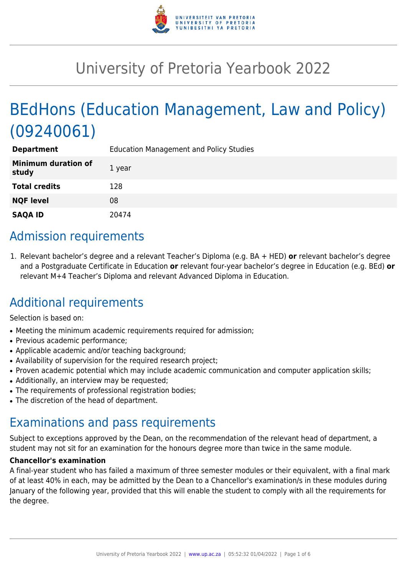

# University of Pretoria Yearbook 2022

# BEdHons (Education Management, Law and Policy) (09240061)

| <b>Department</b>                   | <b>Education Management and Policy Studies</b> |
|-------------------------------------|------------------------------------------------|
| <b>Minimum duration of</b><br>study | 1 year                                         |
| <b>Total credits</b>                | 128                                            |
| <b>NQF level</b>                    | 08                                             |
| <b>SAQA ID</b>                      | 20474                                          |

### Admission requirements

1. Relevant bachelor's degree and a relevant Teacher's Diploma (e.g. BA + HED) **or** relevant bachelor's degree and a Postgraduate Certificate in Education **or** relevant four-year bachelor's degree in Education (e.g. BEd) **or** relevant M+4 Teacher's Diploma and relevant Advanced Diploma in Education.

## Additional requirements

Selection is based on:

- Meeting the minimum academic requirements required for admission;
- Previous academic performance:
- Applicable academic and/or teaching background;
- Availability of supervision for the required research project;
- Proven academic potential which may include academic communication and computer application skills;
- Additionally, an interview may be requested;
- The requirements of professional registration bodies;
- The discretion of the head of department.

### Examinations and pass requirements

Subject to exceptions approved by the Dean, on the recommendation of the relevant head of department, a student may not sit for an examination for the honours degree more than twice in the same module.

#### **Chancellor's examination**

A final-year student who has failed a maximum of three semester modules or their equivalent, with a final mark of at least 40% in each, may be admitted by the Dean to a Chancellor's examination/s in these modules during January of the following year, provided that this will enable the student to comply with all the requirements for the degree.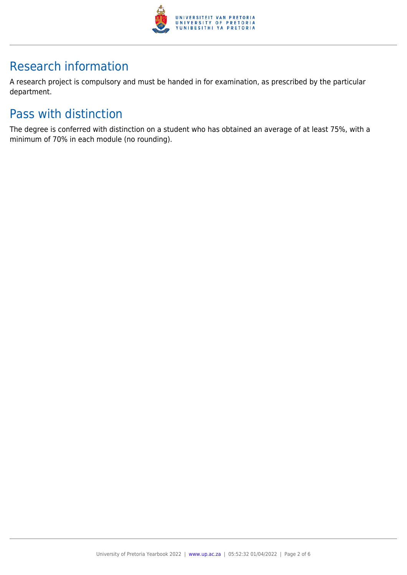

## Research information

A research project is compulsory and must be handed in for examination, as prescribed by the particular department.

## Pass with distinction

The degree is conferred with distinction on a student who has obtained an average of at least 75%, with a minimum of 70% in each module (no rounding).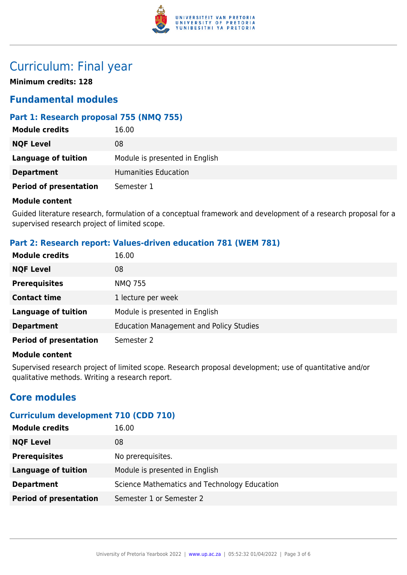

### Curriculum: Final year

**Minimum credits: 128**

### **Fundamental modules**

#### **Part 1: Research proposal 755 (NMQ 755)**

| <b>Module credits</b>         | 16.00                          |
|-------------------------------|--------------------------------|
| <b>NQF Level</b>              | 08                             |
| Language of tuition           | Module is presented in English |
| <b>Department</b>             | Humanities Education           |
| <b>Period of presentation</b> | Semester 1                     |

#### **Module content**

Guided literature research, formulation of a conceptual framework and development of a research proposal for a supervised research project of limited scope.

#### **Part 2: Research report: Values-driven education 781 (WEM 781)**

| <b>Module credits</b>         | 16.00                                          |
|-------------------------------|------------------------------------------------|
| <b>NQF Level</b>              | 08                                             |
| <b>Prerequisites</b>          | <b>NMQ 755</b>                                 |
| <b>Contact time</b>           | 1 lecture per week                             |
| <b>Language of tuition</b>    | Module is presented in English                 |
| <b>Department</b>             | <b>Education Management and Policy Studies</b> |
| <b>Period of presentation</b> | Semester 2                                     |

#### **Module content**

Supervised research project of limited scope. Research proposal development; use of quantitative and/or qualitative methods. Writing a research report.

### **Core modules**

#### **Curriculum development 710 (CDD 710)**

| <b>Module credits</b>         | 16.00                                        |
|-------------------------------|----------------------------------------------|
| <b>NQF Level</b>              | 08                                           |
| <b>Prerequisites</b>          | No prerequisites.                            |
| <b>Language of tuition</b>    | Module is presented in English               |
| <b>Department</b>             | Science Mathematics and Technology Education |
| <b>Period of presentation</b> | Semester 1 or Semester 2                     |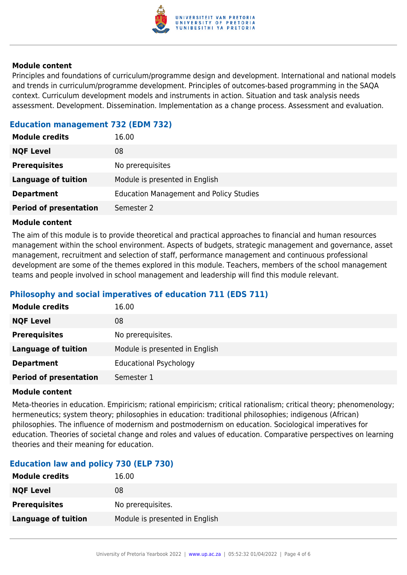

#### **Module content**

Principles and foundations of curriculum/programme design and development. International and national models and trends in curriculum/programme development. Principles of outcomes-based programming in the SAQA context. Curriculum development models and instruments in action. Situation and task analysis needs assessment. Development. Dissemination. Implementation as a change process. Assessment and evaluation.

#### **Education management 732 (EDM 732)**

| <b>Module credits</b>         | 16.00                                          |
|-------------------------------|------------------------------------------------|
| <b>NQF Level</b>              | 08                                             |
| <b>Prerequisites</b>          | No prerequisites                               |
| <b>Language of tuition</b>    | Module is presented in English                 |
| <b>Department</b>             | <b>Education Management and Policy Studies</b> |
| <b>Period of presentation</b> | Semester 2                                     |

#### **Module content**

The aim of this module is to provide theoretical and practical approaches to financial and human resources management within the school environment. Aspects of budgets, strategic management and governance, asset management, recruitment and selection of staff, performance management and continuous professional development are some of the themes explored in this module. Teachers, members of the school management teams and people involved in school management and leadership will find this module relevant.

#### **Philosophy and social imperatives of education 711 (EDS 711)**

| <b>Module credits</b>         | 16.00                          |
|-------------------------------|--------------------------------|
| <b>NQF Level</b>              | 08                             |
| <b>Prerequisites</b>          | No prerequisites.              |
| <b>Language of tuition</b>    | Module is presented in English |
| <b>Department</b>             | <b>Educational Psychology</b>  |
| <b>Period of presentation</b> | Semester 1                     |

#### **Module content**

Meta-theories in education. Empiricism; rational empiricism; critical rationalism; critical theory; phenomenology; hermeneutics; system theory; philosophies in education: traditional philosophies; indigenous (African) philosophies. The influence of modernism and postmodernism on education. Sociological imperatives for education. Theories of societal change and roles and values of education. Comparative perspectives on learning theories and their meaning for education.

#### **Education law and policy 730 (ELP 730)**

| <b>Module credits</b>      | 16.00                          |
|----------------------------|--------------------------------|
| <b>NQF Level</b>           | 08                             |
| <b>Prerequisites</b>       | No prerequisites.              |
| <b>Language of tuition</b> | Module is presented in English |
|                            |                                |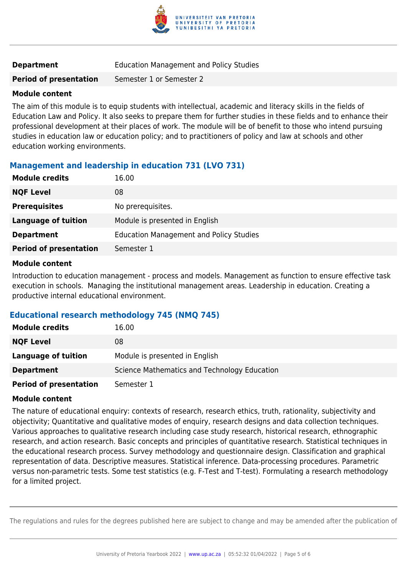

#### **Department** Education Management and Policy Studies

**Period of presentation** Semester 1 or Semester 2

#### **Module content**

The aim of this module is to equip students with intellectual, academic and literacy skills in the fields of Education Law and Policy. It also seeks to prepare them for further studies in these fields and to enhance their professional development at their places of work. The module will be of benefit to those who intend pursuing studies in education law or education policy; and to practitioners of policy and law at schools and other education working environments.

#### **Management and leadership in education 731 (LVO 731)**

| <b>Module credits</b>         | 16.00                                          |
|-------------------------------|------------------------------------------------|
| <b>NQF Level</b>              | 08                                             |
| <b>Prerequisites</b>          | No prerequisites.                              |
| Language of tuition           | Module is presented in English                 |
| <b>Department</b>             | <b>Education Management and Policy Studies</b> |
| <b>Period of presentation</b> | Semester 1                                     |

#### **Module content**

Introduction to education management - process and models. Management as function to ensure effective task execution in schools. Managing the institutional management areas. Leadership in education. Creating a productive internal educational environment.

#### **Educational research methodology 745 (NMQ 745)**

| <b>Module credits</b>         | 16.00                                        |
|-------------------------------|----------------------------------------------|
| <b>NQF Level</b>              | 08                                           |
| Language of tuition           | Module is presented in English               |
| <b>Department</b>             | Science Mathematics and Technology Education |
| <b>Period of presentation</b> | Semester 1                                   |

#### **Module content**

The nature of educational enquiry: contexts of research, research ethics, truth, rationality, subjectivity and objectivity; Quantitative and qualitative modes of enquiry, research designs and data collection techniques. Various approaches to qualitative research including case study research, historical research, ethnographic research, and action research. Basic concepts and principles of quantitative research. Statistical techniques in the educational research process. Survey methodology and questionnaire design. Classification and graphical representation of data. Descriptive measures. Statistical inference. Data-processing procedures. Parametric versus non-parametric tests. Some test statistics (e.g. F-Test and T-test). Formulating a research methodology for a limited project.

The regulations and rules for the degrees published here are subject to change and may be amended after the publication of